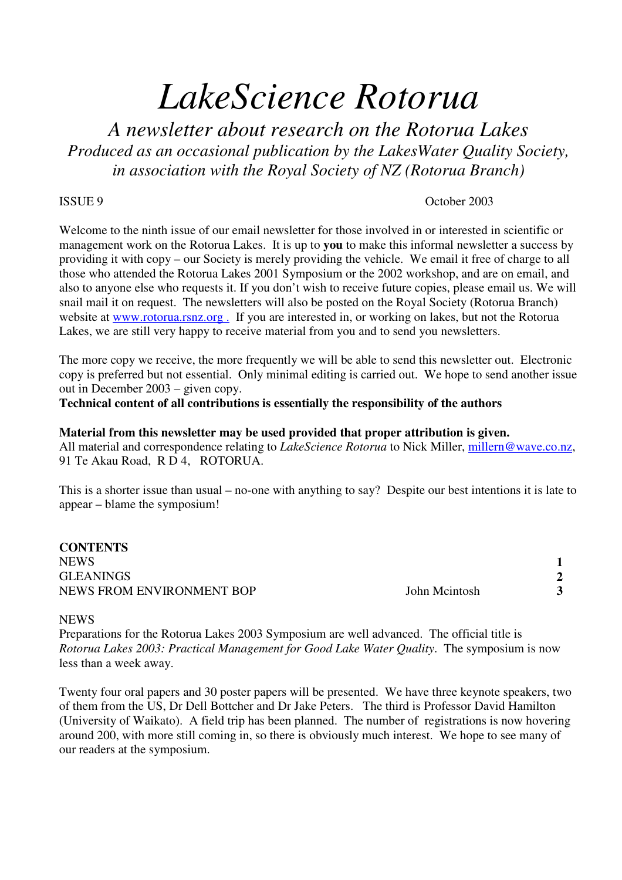# *LakeScience Rotorua*

*A newsletter about research on the Rotorua Lakes Produced as an occasional publication by the LakesWater Quality Society, in association with the Royal Society of NZ (Rotorua Branch)*

## ISSUE 9 October 2003

Welcome to the ninth issue of our email newsletter for those involved in or interested in scientific or management work on the Rotorua Lakes. It is up to **you** to make this informal newsletter a success by providing it with copy – our Society is merely providing the vehicle. We email it free of charge to all those who attended the Rotorua Lakes 2001 Symposium or the 2002 workshop, and are on email, and also to anyone else who requests it. If you don't wish to receive future copies, please email us. We will snail mail it on request. The newsletters will also be posted on the Royal Society (Rotorua Branch) website at www.rotorua.rsnz.org. If you are interested in, or working on lakes, but not the Rotorua Lakes, we are still very happy to receive material from you and to send you newsletters.

The more copy we receive, the more frequently we will be able to send this newsletter out. Electronic copy is preferred but not essential. Only minimal editing is carried out. We hope to send another issue out in December 2003 – given copy.

**Technical content of all contributions is essentially the responsibility of the authors**

#### **Material from this newsletter may be used provided that proper attribution is given.** All material and correspondence relating to *LakeScience Rotorua* to Nick Miller, millern@wave.co.nz,

91 Te Akau Road, R D 4, ROTORUA.

This is a shorter issue than usual – no-one with anything to say? Despite our best intentions it is late to appear – blame the symposium!

**CONTENTS** NEWS **1** GLEANINGS
<sup>2</sup><br>
NEWS FROM ENVIRONMENT ROP
<sup>2</sup> NEWS FROM ENVIRONMENT BOP John Mcintosh **3** 

### **NEWS**

Preparations for the Rotorua Lakes 2003 Symposium are well advanced. The official title is *Rotorua Lakes 2003: Practical Management for Good Lake Water Quality*. The symposium is now less than a week away.

Twenty four oral papers and 30 poster papers will be presented. We have three keynote speakers, two of them from the US, Dr Dell Bottcher and Dr Jake Peters. The third is Professor David Hamilton (University of Waikato). A field trip has been planned. The number of registrations is now hovering around 200, with more still coming in, so there is obviously much interest. We hope to see many of our readers at the symposium.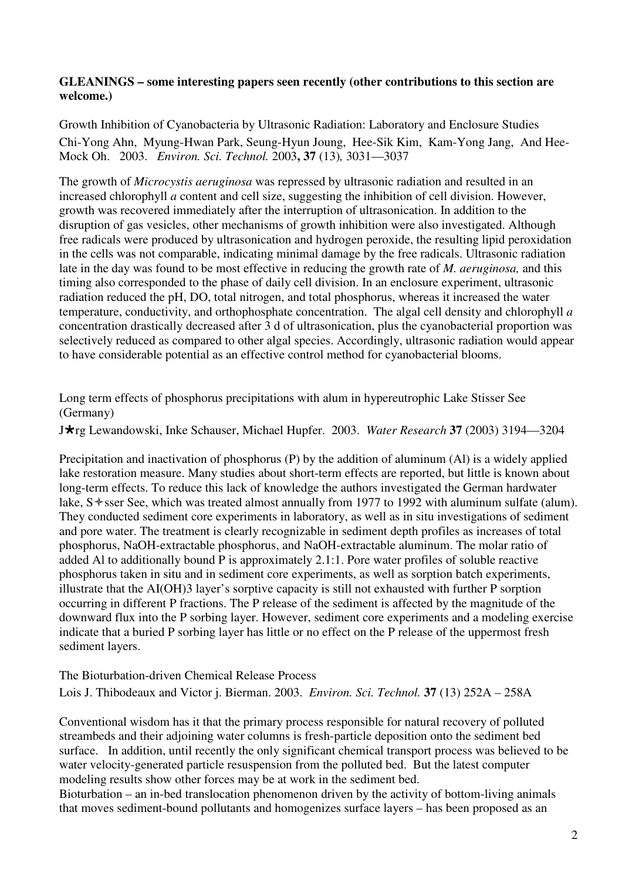# **GLEANINGS – some interesting papers seen recently (other contributions to this section are welcome.)**

Growth Inhibition of Cyanobacteria by Ultrasonic Radiation: Laboratory and Enclosure Studies Chi-Yong Ahn, Myung-Hwan Park, Seung-Hyun Joung, Hee-Sik Kim, Kam-Yong Jang, And Hee-Mock Oh. 2003. *Environ. Sci. Technol.* 2003**, 37** (13)*,* 3031—3037

The growth of *Microcystis aeruginosa* was repressed by ultrasonic radiation and resulted in an increased chlorophyll *a* content and cell size, suggesting the inhibition of cell division. However, growth was recovered immediately after the interruption of ultrasonication. In addition to the disruption of gas vesicles, other mechanisms of growth inhibition were also investigated. Although free radicals were produced by ultrasonication and hydrogen peroxide, the resulting lipid peroxidation in the cells was not comparable, indicating minimal damage by the free radicals. Ultrasonic radiation late in the day was found to be most effective in reducing the growth rate of *M. aeruginosa,* and this timing also corresponded to the phase of daily cell division. In an enclosure experiment, ultrasonic radiation reduced the pH, DO, total nitrogen, and total phosphorus, whereas it increased the water temperature, conductivity, and orthophosphate concentration. The algal cell density and chlorophyll *a* concentration drastically decreased after 3 d of ultrasonication, plus the cyanobacterial proportion was selectively reduced as compared to other algal species. Accordingly, ultrasonic radiation would appear to have considerable potential as an effective control method for cyanobacterial blooms.

Long term effects of phosphorus precipitations with alum in hypereutrophic Lake Stisser See (Germany)

Jrg Lewandowski, Inke Schauser, Michael Hupfer. 2003. *Water Research* **37** (2003) 3194—3204

Precipitation and inactivation of phosphorus (P) by the addition of aluminum (Al) is a widely applied lake restoration measure. Many studies about short-term effects are reported, but little is known about long-term effects. To reduce this lack of knowledge the authors investigated the German hardwater lake, S  $\triangle$  sser See, which was treated almost annually from 1977 to 1992 with aluminum sulfate (alum). They conducted sediment core experiments in laboratory, as well as in situ investigations of sediment and pore water. The treatment is clearly recognizable in sediment depth profiles as increases of total phosphorus, NaOH-extractable phosphorus, and NaOH-extractable aluminum. The molar ratio of added Al to additionally bound P is approximately 2.1:1. Pore water profiles of soluble reactive phosphorus taken in situ and in sediment core experiments, as well as sorption batch experiments, illustrate that the AI(OH)3 layer's sorptive capacity is still not exhausted with further P sorption occurring in different P fractions. The P release of the sediment is affected by the magnitude of the downward flux into the P sorbing layer. However, sediment core experiments and a modeling exercise indicate that a buried P sorbing layer has little or no effect on the P release of the uppermost fresh sediment layers.

The Bioturbation-driven Chemical Release Process Lois J. Thibodeaux and Victor j. Bierman. 2003. *Environ. Sci. Technol.* **37** (13) 252A – 258A

Conventional wisdom has it that the primary process responsible for natural recovery of polluted streambeds and their adjoining water columns is fresh-particle deposition onto the sediment bed surface. In addition, until recently the only significant chemical transport process was believed to be water velocity-generated particle resuspension from the polluted bed. But the latest computer modeling results show other forces may be at work in the sediment bed.

Bioturbation – an in-bed translocation phenomenon driven by the activity of bottom-living animals that moves sediment-bound pollutants and homogenizes surface layers – has been proposed as an